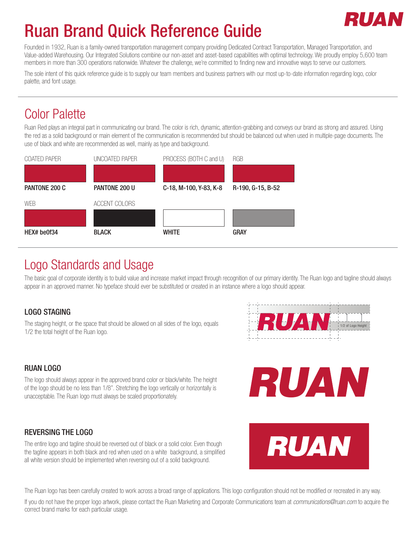# RII AT

# Ruan Brand Quick Reference Guide

Founded in 1932, Ruan is a family-owned transportation management company providing Dedicated Contract Transportation, Managed Transportation, and Value-added Warehousing. Our Integrated Solutions combine our non-asset and asset-based capabilities with optimal technology. We proudly employ 5,600 team members in more than 300 operations nationwide. Whatever the challenge, we're committed to finding new and innovative ways to serve our customers.

The sole intent of this quick reference guide is to supply our team members and business partners with our most up-to-date information regarding logo, color palette, and font usage.

## Color Palette

Ruan Red plays an integral part in communicating our brand. The color is rich, dynamic, attention-grabbing and conveys our brand as strong and assured. Using the red as a solid background or main element of the communication is recommended but should be balanced out when used in multiple-page documents. The use of black and white are recommended as well, mainly as type and background.



### Logo Standards and Usage

The basic goal of corporate identity is to build value and increase market impact through recognition of our primary identity. The Ruan logo and tagline should always appear in an approved manner. No typeface should ever be substituted or created in an instance where a logo should appear.

### LOGO STAGING

The staging height, or the space that should be allowed on all sides of the logo, equals 1/2 the total height of the Ruan logo.



### RUAN LOGO

The logo should always appear in the approved brand color or black/white. The height of the logo should be no less than 1/8". Stretching the logo vertically or horizontally is unacceptable. The Ruan logo must always be scaled proportionately.

### REVERSING THE LOGO

The entire logo and tagline should be reversed out of black or a solid color. Even though the tagline appears in both black and red when used on a white background, a simplified all white version should be implemented when reversing out of a solid background.





The Ruan logo has been carefully created to work across a broad range of applications. This logo configuration should not be modified or recreated in any way.

If you do not have the proper logo artwork, please contact the Ruan Marketing and Corporate Communications team at *communications@ruan.com* to acquire the correct brand marks for each particular usage.